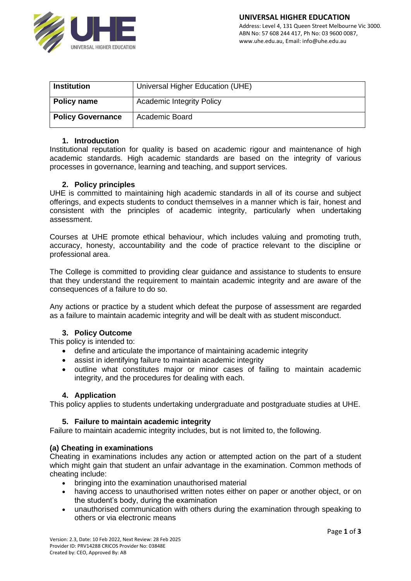

| <b>Institution</b>       | Universal Higher Education (UHE) |
|--------------------------|----------------------------------|
| <b>Policy name</b>       | <b>Academic Integrity Policy</b> |
| <b>Policy Governance</b> | Academic Board                   |

#### **1. Introduction**

Institutional reputation for quality is based on academic rigour and maintenance of high academic standards. High academic standards are based on the integrity of various processes in governance, learning and teaching, and support services.

#### **2. Policy principles**

UHE is committed to maintaining high academic standards in all of its course and subject offerings, and expects students to conduct themselves in a manner which is fair, honest and consistent with the principles of academic integrity, particularly when undertaking assessment.

Courses at UHE promote ethical behaviour, which includes valuing and promoting truth, accuracy, honesty, accountability and the code of practice relevant to the discipline or professional area.

The College is committed to providing clear guidance and assistance to students to ensure that they understand the requirement to maintain academic integrity and are aware of the consequences of a failure to do so.

Any actions or practice by a student which defeat the purpose of assessment are regarded as a failure to maintain academic integrity and will be dealt with as student misconduct.

# **3. Policy Outcome**

This policy is intended to:

- define and articulate the importance of maintaining academic integrity
- assist in identifying failure to maintain academic integrity
- outline what constitutes major or minor cases of failing to maintain academic integrity, and the procedures for dealing with each.

### **4. Application**

This policy applies to students undertaking undergraduate and postgraduate studies at UHE.

### **5. Failure to maintain academic integrity**

Failure to maintain academic integrity includes, but is not limited to, the following.

### **(a) Cheating in examinations**

Cheating in examinations includes any action or attempted action on the part of a student which might gain that student an unfair advantage in the examination. Common methods of cheating include:

- bringing into the examination unauthorised material
- having access to unauthorised written notes either on paper or another object, or on the student's body, during the examination
- unauthorised communication with others during the examination through speaking to others or via electronic means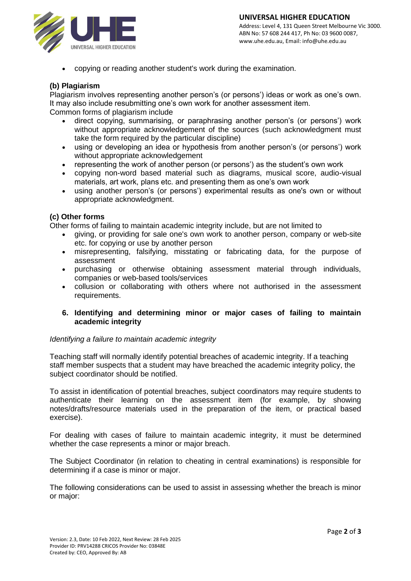

• copying or reading another student's work during the examination.

## **(b) Plagiarism**

Plagiarism involves representing another person's (or persons') ideas or work as one's own. It may also include resubmitting one's own work for another assessment item. Common forms of plagiarism include

- direct copying, summarising, or paraphrasing another person's (or persons') work without appropriate acknowledgement of the sources (such acknowledgment must take the form required by the particular discipline)
- using or developing an idea or hypothesis from another person's (or persons') work without appropriate acknowledgement
- representing the work of another person (or persons') as the student's own work
- copying non-word based material such as diagrams, musical score, audio-visual materials, art work, plans etc. and presenting them as one's own work
- using another person's (or persons') experimental results as one's own or without appropriate acknowledgment.

### **(c) Other forms**

Other forms of failing to maintain academic integrity include, but are not limited to

- giving, or providing for sale one's own work to another person, company or web-site etc. for copying or use by another person
- misrepresenting, falsifying, misstating or fabricating data, for the purpose of assessment
- purchasing or otherwise obtaining assessment material through individuals, companies or web-based tools/services
- collusion or collaborating with others where not authorised in the assessment requirements.
- **6. Identifying and determining minor or major cases of failing to maintain academic integrity**

### *Identifying a failure to maintain academic integrity*

Teaching staff will normally identify potential breaches of academic integrity. If a teaching staff member suspects that a student may have breached the academic integrity policy, the subject coordinator should be notified.

To assist in identification of potential breaches, subject coordinators may require students to authenticate their learning on the assessment item (for example, by showing notes/drafts/resource materials used in the preparation of the item, or practical based exercise).

For dealing with cases of failure to maintain academic integrity, it must be determined whether the case represents a minor or major breach.

The Subject Coordinator (in relation to cheating in central examinations) is responsible for determining if a case is minor or major.

The following considerations can be used to assist in assessing whether the breach is minor or major: